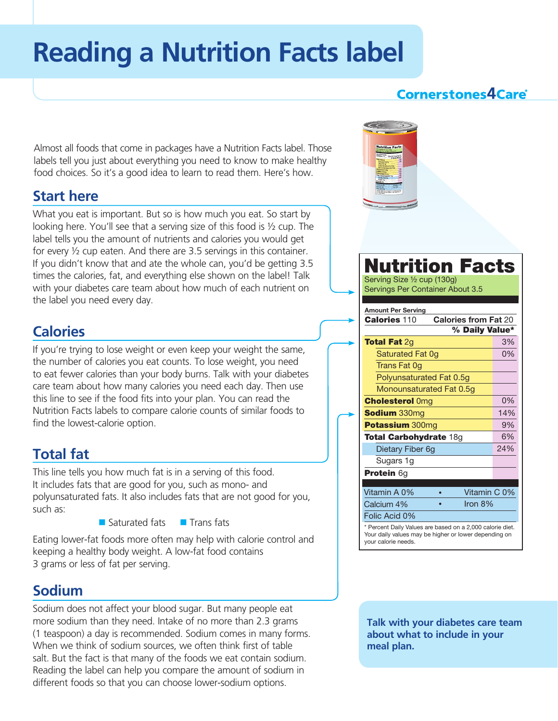# **Reading a Nutrition Facts label**

#### **Cornerstones4Care**®

Almost all foods that come in packages have a Nutrition Facts label. Those labels tell you just about everything you need to know to make healthy food choices. So it's a good idea to learn to read them. Here's how.

#### **Start here**

What you eat is important. But so is how much you eat. So start by looking here. You'll see that a serving size of this food is ½ cup. The label tells you the amount of nutrients and calories you would get for every ½ cup eaten. And there are 3.5 servings in this container. If you didn't know that and ate the whole can, you'd be getting 3.5 times the calories, fat, and everything else shown on the label! Talk with your diabetes care team about how much of each nutrient on the label you need every day.

### **Calories**

If you're trying to lose weight or even keep your weight the same, the number of calories you eat counts. To lose weight, you need to eat fewer calories than your body burns. Talk with your diabetes care team about how many calories you need each day. Then use this line to see if the food fits into your plan. You can read the Nutrition Facts labels to compare calorie counts of similar foods to find the lowest-calorie option.

## **Total fat**

This line tells you how much fat is in a serving of this food. It includes fats that are good for you, such as mono- and polyunsaturated fats. It also includes fats that are not good for you, such as:

 $\blacksquare$  Saturated fats  $\blacksquare$  Trans fats

Eating lower-fat foods more often may help with calorie control and keeping a healthy body weight. A low-fat food contains 3 grams or less of fat per serving.

#### **Sodium**

Sodium does not affect your blood sugar. But many people eat more sodium than they need. Intake of no more than 2.3 grams (1 teaspoon) a day is recommended. Sodium comes in many forms. When we think of sodium sources, we often think first of table salt. But the fact is that many of the foods we eat contain sodium. Reading the label can help you compare the amount of sodium in different foods so that you can choose lower-sodium options.



**Talk with your diabetes care team about what to include in your meal plan.**